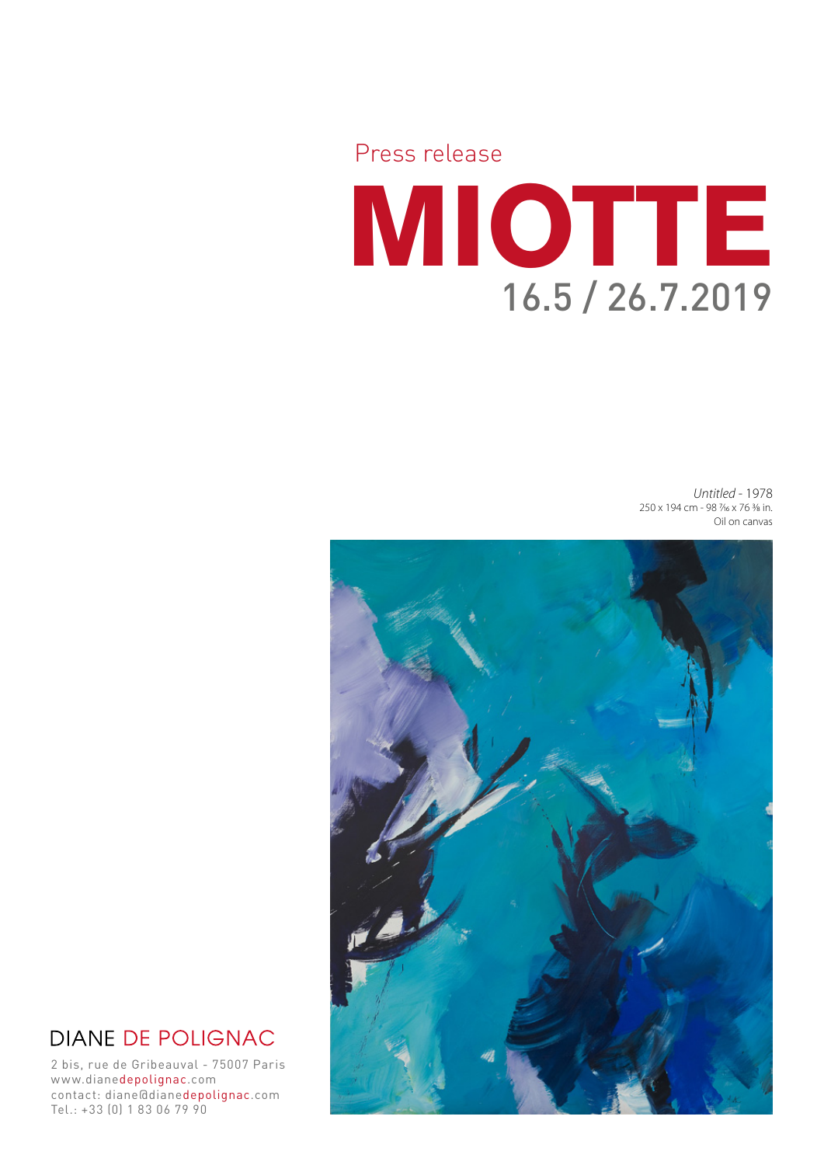

*Untitled* - 1978 250 x 194 cm - 98 7/16 x 76 3/8 in. Oil on canvas



# **DIANE DE POLIGNAC**

2 bis, rue de Gribeauval - 75007 Paris www.dianedepolignac.com contact: diane@dianedepolignac.com Tel.: +33 (0) 1 83 06 79 90